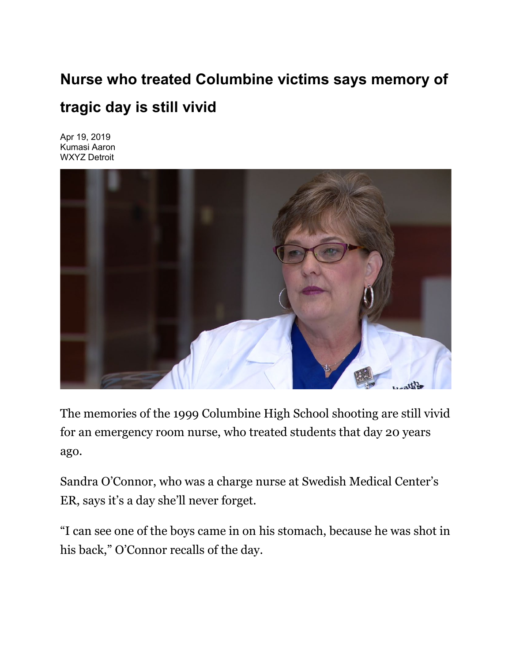## **Nurse who treated Columbine victims says memory of tragic day is still vivid**

Apr 19, 2019 Kumasi Aaron WXYZ Detroit



The memories of the 1999 Columbine High School shooting are still vivid for an emergency room nurse, who treated students that day 20 years ago.

Sandra O'Connor, who was a charge nurse at Swedish Medical Center's ER, says it's a day she'll never forget.

"I can see one of the boys came in on his stomach, because he was shot in his back," O'Connor recalls of the day.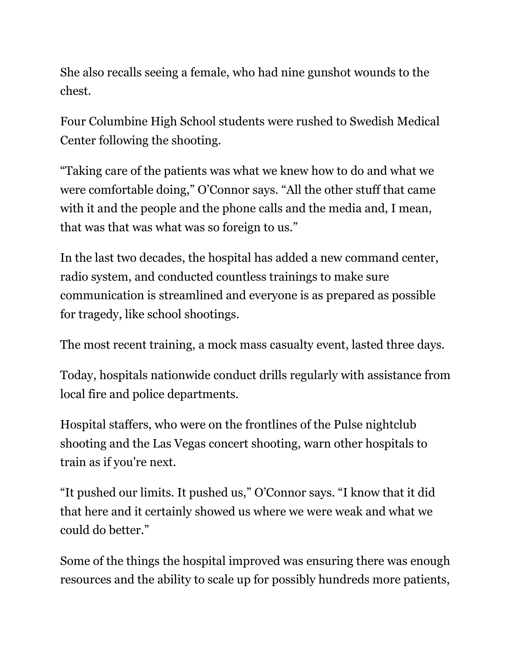She also recalls seeing a female, who had nine gunshot wounds to the chest.

Four Columbine High School students were rushed to Swedish Medical Center following the shooting.

"Taking care of the patients was what we knew how to do and what we were comfortable doing," O'Connor says. "All the other stuff that came with it and the people and the phone calls and the media and, I mean, that was that was what was so foreign to us."

In the last two decades, the hospital has added a new command center, radio system, and conducted countless trainings to make sure communication is streamlined and everyone is as prepared as possible for tragedy, like school shootings.

The most recent training, a mock mass casualty event, lasted three days.

Today, hospitals nationwide conduct drills regularly with assistance from local fire and police departments.

Hospital staffers, who were on the frontlines of the Pulse nightclub shooting and the Las Vegas concert shooting, warn other hospitals to train as if you're next.

"It pushed our limits. It pushed us," O'Connor says. "I know that it did that here and it certainly showed us where we were weak and what we could do better."

Some of the things the hospital improved was ensuring there was enough resources and the ability to scale up for possibly hundreds more patients,